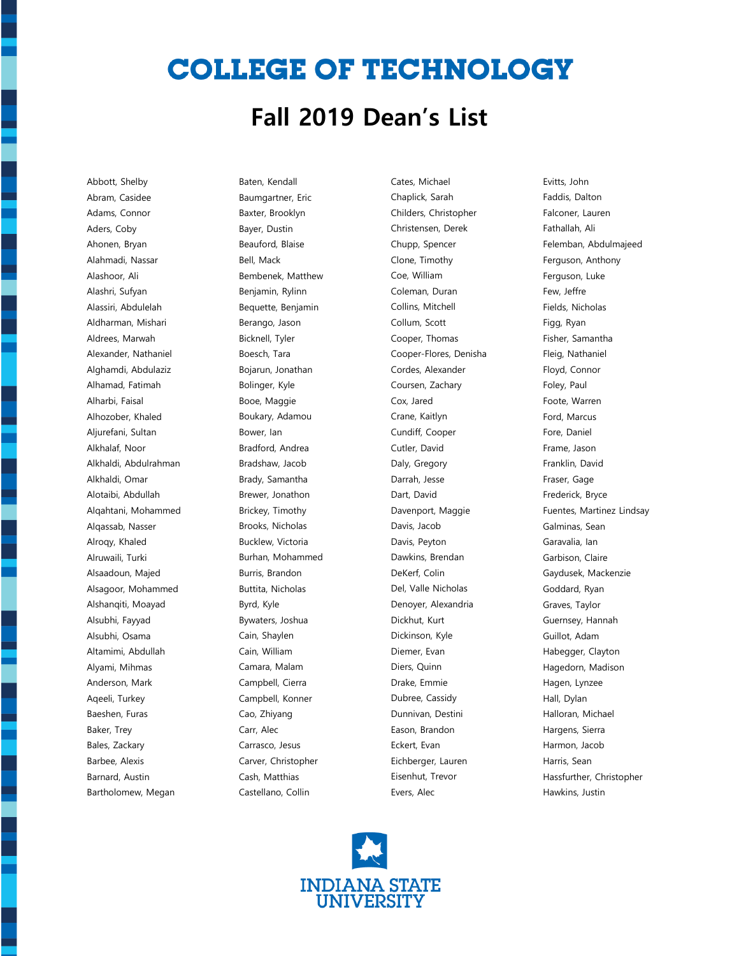## **COLLEGE OF TECHNOLOGY**

#### **Fall 2019 Dean's List**

Abbott, Shelby Abram, Casidee Adams, Connor Aders, Coby Ahonen, Bryan Alahmadi, Nassar Alashoor, Ali Alashri, Sufyan Alassiri, Abdulelah Aldharman, Mishari Aldrees, Marwah Alexander, Nathaniel Alghamdi, Abdulaziz Alhamad, Fatimah Alharbi, Faisal Alhozober, Khaled Aljurefani, Sultan Alkhalaf, Noor Alkhaldi, Abdulrahman Alkhaldi, Omar Alotaibi, Abdullah Alqahtani, Mohammed Alqassab, Nasser Alroqy, Khaled Alruwaili, Turki Alsaadoun, Majed Alsagoor, Mohammed Alshanqiti, Moayad Alsubhi, Fayyad Alsubhi, Osama Altamimi, Abdullah Alyami, Mihmas Anderson, Mark Aqeeli, Turkey Baeshen, Furas Baker, Trey Bales, Zackary Barbee, Alexis Barnard, Austin Bartholomew, Megan

Baten, Kendall Baumgartner, Eric Baxter, Brooklyn Bayer, Dustin Beauford, Blaise Bell, Mack Bembenek, Matthew Benjamin, Rylinn Bequette, Benjamin Berango, Jason Bicknell, Tyler Boesch, Tara Bojarun, Jonathan Bolinger, Kyle Booe, Maggie Boukary, Adamou Bower, Ian Bradford, Andrea Bradshaw, Jacob Brady, Samantha Brewer, Jonathon Brickey, Timothy Brooks, Nicholas Bucklew, Victoria Burhan, Mohammed Burris, Brandon Buttita, Nicholas Byrd, Kyle Bywaters, Joshua Cain, Shaylen Cain, William Camara, Malam Campbell, Cierra Campbell, Konner Cao, Zhiyang Carr, Alec Carrasco, Jesus Carver, Christopher Cash, Matthias Castellano, Collin

Cates, Michael Chaplick, Sarah Childers, Christopher Christensen, Derek Chupp, Spencer Clone, Timothy Coe, William Coleman, Duran Collins, Mitchell Collum, Scott Cooper, Thomas Cooper-Flores, Denisha Cordes, Alexander Coursen, Zachary Cox, Jared Crane, Kaitlyn Cundiff, Cooper Cutler, David Daly, Gregory Darrah, Jesse Dart, David Davenport, Maggie Davis, Jacob Davis, Peyton Dawkins, Brendan DeKerf, Colin Del, Valle Nicholas Denoyer, Alexandria Dickhut, Kurt Dickinson, Kyle Diemer, Evan Diers, Quinn Drake, Emmie Dubree, Cassidy Dunnivan, Destini Eason, Brandon Eckert, Evan Eichberger, Lauren Eisenhut, Trevor Evers, Alec

Evitts, John Faddis, Dalton Falconer, Lauren Fathallah, Ali Felemban, Abdulmajeed Ferguson, Anthony Ferguson, Luke Few, Jeffre Fields, Nicholas Figg, Ryan Fisher, Samantha Fleig, Nathaniel Floyd, Connor Foley, Paul Foote, Warren Ford, Marcus Fore, Daniel Frame, Jason Franklin, David Fraser, Gage Frederick, Bryce Fuentes, Martinez Lindsay Galminas, Sean Garavalia, Ian Garbison, Claire Gaydusek, Mackenzie Goddard, Ryan Graves, Taylor Guernsey, Hannah Guillot, Adam Habegger, Clayton Hagedorn, Madison Hagen, Lynzee Hall, Dylan Halloran, Michael Hargens, Sierra Harmon, Jacob Harris, Sean Hassfurther, Christopher Hawkins, Justin

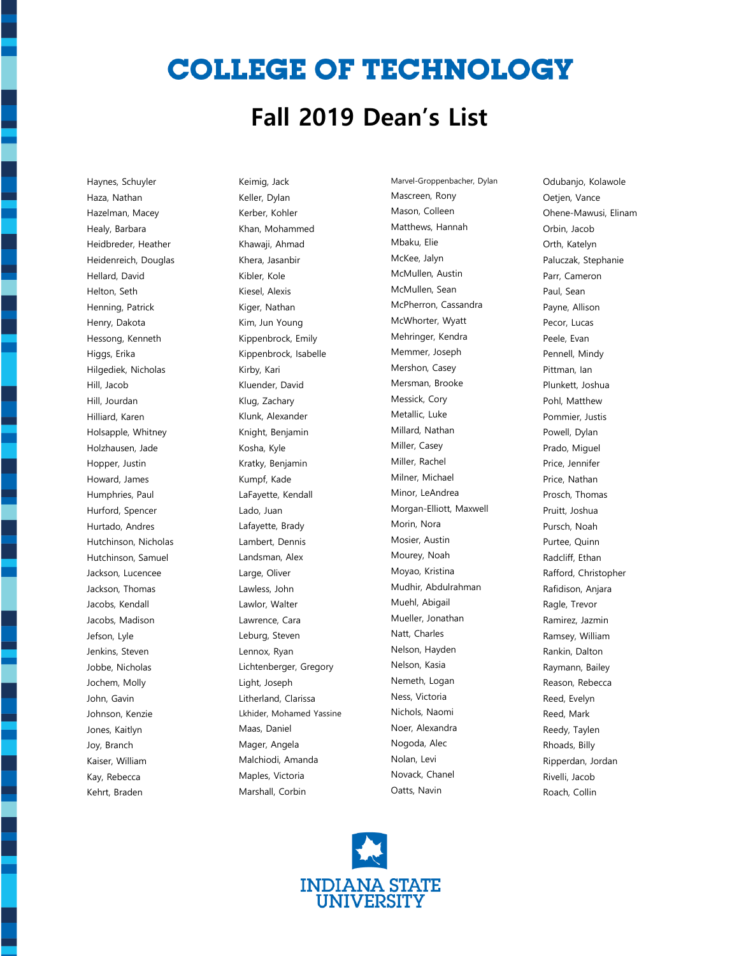# **COLLEGE OF TECHNOLOGY**

#### **Fall 2019 Dean's List**

Haynes, Schuyler Haza, Nathan Hazelman, Macey Healy, Barbara Heidbreder, Heather Heidenreich, Douglas Hellard, David Helton, Seth Henning, Patrick Henry, Dakota Hessong, Kenneth Higgs, Erika Hilgediek, Nicholas Hill, Jacob Hill, Jourdan Hilliard, Karen Holsapple, Whitney Holzhausen, Jade Hopper, Justin Howard, James Humphries, Paul Hurford, Spencer Hurtado, Andres Hutchinson, Nicholas Hutchinson, Samuel Jackson, Lucencee Jackson, Thomas Jacobs, Kendall Jacobs, Madison Jefson, Lyle Jenkins, Steven Jobbe, Nicholas Jochem, Molly John, Gavin Johnson, Kenzie Jones, Kaitlyn Joy, Branch Kaiser, William Kay, Rebecca Kehrt, Braden

Keimig, Jack Keller, Dylan Kerber, Kohler Khan, Mohammed Khawaji, Ahmad Khera, Jasanbir Kibler, Kole Kiesel, Alexis Kiger, Nathan Kim, Jun Young Kippenbrock, Emily Kippenbrock, Isabelle Kirby, Kari Kluender, David Klug, Zachary Klunk, Alexander Knight, Benjamin Kosha, Kyle Kratky, Benjamin Kumpf, Kade LaFayette, Kendall Lado, Juan Lafayette, Brady Lambert, Dennis Landsman, Alex Large, Oliver Lawless, John Lawlor, Walter Lawrence, Cara Leburg, Steven Lennox, Ryan Lichtenberger, Gregory Light, Joseph Litherland, Clarissa Lkhider, Mohamed Yassine Maas, Daniel Mager, Angela Malchiodi, Amanda Maples, Victoria Marshall, Corbin

Marvel-Groppenbacher, Dylan Mascreen, Rony Mason, Colleen Matthews, Hannah Mbaku, Elie McKee, Jalyn McMullen, Austin McMullen, Sean McPherron, Cassandra McWhorter, Wyatt Mehringer, Kendra Memmer, Joseph Mershon, Casey Mersman, Brooke Messick, Cory Metallic, Luke Millard, Nathan Miller, Casey Miller, Rachel Milner, Michael Minor, LeAndrea Morgan-Elliott, Maxwell Morin, Nora Mosier, Austin Mourey, Noah Moyao, Kristina Mudhir, Abdulrahman Muehl, Abigail Mueller, Jonathan Natt, Charles Nelson, Hayden Nelson, Kasia Nemeth, Logan Ness, Victoria Nichols, Naomi Noer, Alexandra Nogoda, Alec Nolan, Levi Novack, Chanel Oatts, Navin

Odubanjo, Kolawole Oetjen, Vance Ohene-Mawusi, Elinam Orbin, Jacob Orth, Katelyn Paluczak, Stephanie Parr, Cameron Paul, Sean Payne, Allison Pecor, Lucas Peele, Evan Pennell, Mindy Pittman, Ian Plunkett, Joshua Pohl, Matthew Pommier, Justis Powell, Dylan Prado, Miguel Price, Jennifer Price, Nathan Prosch, Thomas Pruitt, Joshua Pursch, Noah Purtee, Quinn Radcliff, Ethan Rafford, Christopher Rafidison, Anjara Ragle, Trevor Ramirez, Jazmin Ramsey, William Rankin, Dalton Raymann, Bailey Reason, Rebecca Reed, Evelyn Reed, Mark Reedy, Taylen Rhoads, Billy Ripperdan, Jordan Rivelli, Jacob Roach, Collin